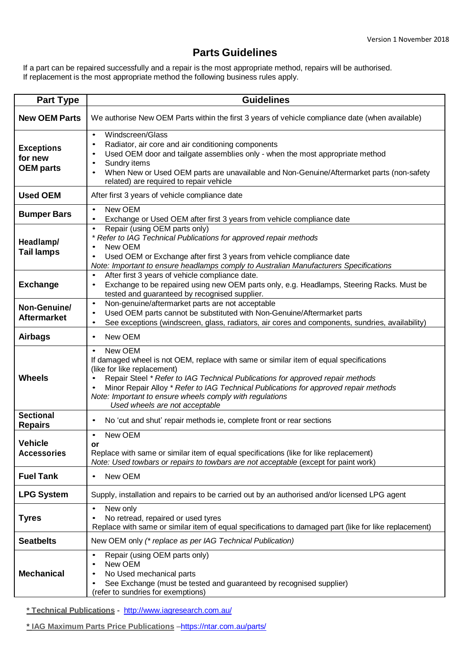## **Parts Guidelines**

If a part can be repaired successfully and a repair is the most appropriate method, repairs will be authorised. If replacement is the most appropriate method the following business rules apply.

| <b>Part Type</b>                                 | <b>Guidelines</b>                                                                                                                                                                                                                                                                                                                                                                                                     |
|--------------------------------------------------|-----------------------------------------------------------------------------------------------------------------------------------------------------------------------------------------------------------------------------------------------------------------------------------------------------------------------------------------------------------------------------------------------------------------------|
| <b>New OEM Parts</b>                             | We authorise New OEM Parts within the first 3 years of vehicle compliance date (when available)                                                                                                                                                                                                                                                                                                                       |
| <b>Exceptions</b><br>for new<br><b>OEM</b> parts | Windscreen/Glass<br>$\bullet$<br>Radiator, air core and air conditioning components<br>$\bullet$<br>Used OEM door and tailgate assemblies only - when the most appropriate method<br>Sundry items<br>When New or Used OEM parts are unavailable and Non-Genuine/Aftermarket parts (non-safety<br>related) are required to repair vehicle                                                                              |
| <b>Used OEM</b>                                  | After first 3 years of vehicle compliance date                                                                                                                                                                                                                                                                                                                                                                        |
| <b>Bumper Bars</b>                               | New OEM<br>$\bullet$<br>Exchange or Used OEM after first 3 years from vehicle compliance date                                                                                                                                                                                                                                                                                                                         |
| Headlamp/<br><b>Tail lamps</b>                   | Repair (using OEM parts only)<br>$\bullet$<br>* Refer to IAG Technical Publications for approved repair methods<br>New OEM<br>Used OEM or Exchange after first 3 years from vehicle compliance date<br>Note: Important to ensure headlamps comply to Australian Manufacturers Specifications                                                                                                                          |
| <b>Exchange</b>                                  | After first 3 years of vehicle compliance date.<br>$\bullet$<br>Exchange to be repaired using new OEM parts only, e.g. Headlamps, Steering Racks. Must be<br>tested and guaranteed by recognised supplier.                                                                                                                                                                                                            |
| Non-Genuine/<br><b>Aftermarket</b>               | Non-genuine/aftermarket parts are not acceptable<br>$\bullet$<br>Used OEM parts cannot be substituted with Non-Genuine/Aftermarket parts<br>See exceptions (windscreen, glass, radiators, air cores and components, sundries, availability)                                                                                                                                                                           |
| <b>Airbags</b>                                   | New OEM                                                                                                                                                                                                                                                                                                                                                                                                               |
| <b>Wheels</b>                                    | New OEM<br>$\bullet$<br>If damaged wheel is not OEM, replace with same or similar item of equal specifications<br>(like for like replacement)<br>Repair Steel * Refer to IAG Technical Publications for approved repair methods<br>Minor Repair Alloy * Refer to IAG Technical Publications for approved repair methods<br>Note: Important to ensure wheels comply with regulations<br>Used wheels are not acceptable |
| <b>Sectional</b><br><b>Repairs</b>               | No 'cut and shut' repair methods ie, complete front or rear sections<br>$\bullet$                                                                                                                                                                                                                                                                                                                                     |
| <b>Vehicle</b><br><b>Accessories</b>             | New OEM<br>$\bullet$<br>or<br>Replace with same or similar item of equal specifications (like for like replacement)<br>Note: Used towbars or repairs to towbars are not acceptable (except for paint work)                                                                                                                                                                                                            |
| <b>Fuel Tank</b>                                 | New OEM                                                                                                                                                                                                                                                                                                                                                                                                               |
| <b>LPG System</b>                                | Supply, installation and repairs to be carried out by an authorised and/or licensed LPG agent                                                                                                                                                                                                                                                                                                                         |
| <b>Tyres</b>                                     | New only<br>$\bullet$<br>No retread, repaired or used tyres<br>Replace with same or similar item of equal specifications to damaged part (like for like replacement)                                                                                                                                                                                                                                                  |
| <b>Seatbelts</b>                                 | New OEM only (* replace as per IAG Technical Publication)                                                                                                                                                                                                                                                                                                                                                             |
| <b>Mechanical</b>                                | Repair (using OEM parts only)<br>$\bullet$<br>New OEM<br>No Used mechanical parts<br>See Exchange (must be tested and guaranteed by recognised supplier)<br>(refer to sundries for exemptions)                                                                                                                                                                                                                        |

**\* Technical Publications -** <http://www.iagresearch.com.au/>

**\* IAG Maximum Parts Price Publications** [–https://ntar.com.au/parts/](https://ntar.com.au/parts/)